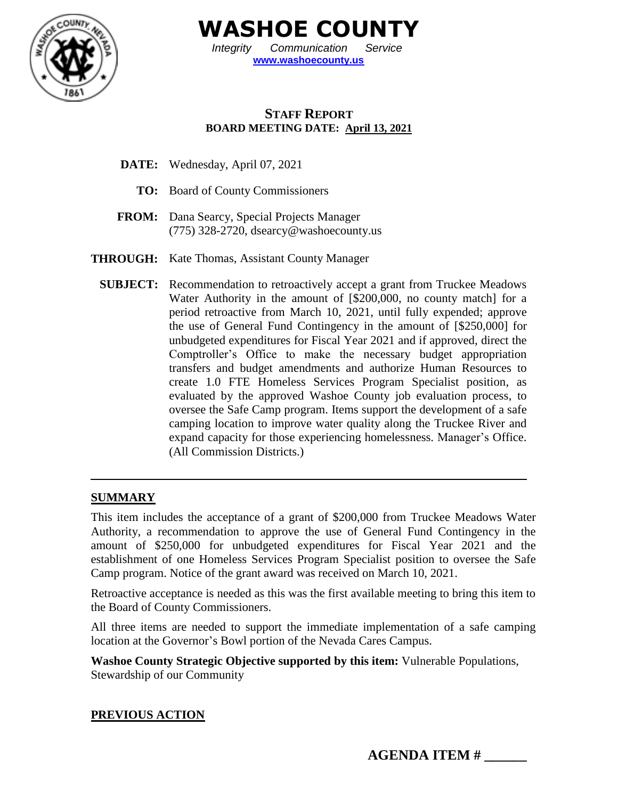

**WASHOE COUNTY**

*Integrity Communication Service* **[www.washoecounty.us](http://www.washoecounty.us/)**

# **STAFF REPORT BOARD MEETING DATE: April 13, 2021**

- **DATE:** Wednesday, April 07, 2021
	- **TO:** Board of County Commissioners
- **FROM:** Dana Searcy, Special Projects Manager (775) 328-2720, dsearc[y@washoecounty.us](mailto:Kathomas@washoecounty.us)
- **THROUGH:** Kate Thomas, Assistant County Manager
	- **SUBJECT:** Recommendation to retroactively accept a grant from Truckee Meadows Water Authority in the amount of [\$200,000, no county match] for a period retroactive from March 10, 2021, until fully expended; approve the use of General Fund Contingency in the amount of [\$250,000] for unbudgeted expenditures for Fiscal Year 2021 and if approved, direct the Comptroller's Office to make the necessary budget appropriation transfers and budget amendments and authorize Human Resources to create 1.0 FTE Homeless Services Program Specialist position, as evaluated by the approved Washoe County job evaluation process, to oversee the Safe Camp program. Items support the development of a safe camping location to improve water quality along the Truckee River and expand capacity for those experiencing homelessness. Manager's Office. (All Commission Districts.)

### **SUMMARY**

This item includes the acceptance of a grant of \$200,000 from Truckee Meadows Water Authority, a recommendation to approve the use of General Fund Contingency in the amount of \$250,000 for unbudgeted expenditures for Fiscal Year 2021 and the establishment of one Homeless Services Program Specialist position to oversee the Safe Camp program. Notice of the grant award was received on March 10, 2021.

Retroactive acceptance is needed as this was the first available meeting to bring this item to the Board of County Commissioners.

All three items are needed to support the immediate implementation of a safe camping location at the Governor's Bowl portion of the Nevada Cares Campus.

**Washoe County Strategic Objective supported by this item:** Vulnerable Populations, Stewardship of our Community

### **PREVIOUS ACTION**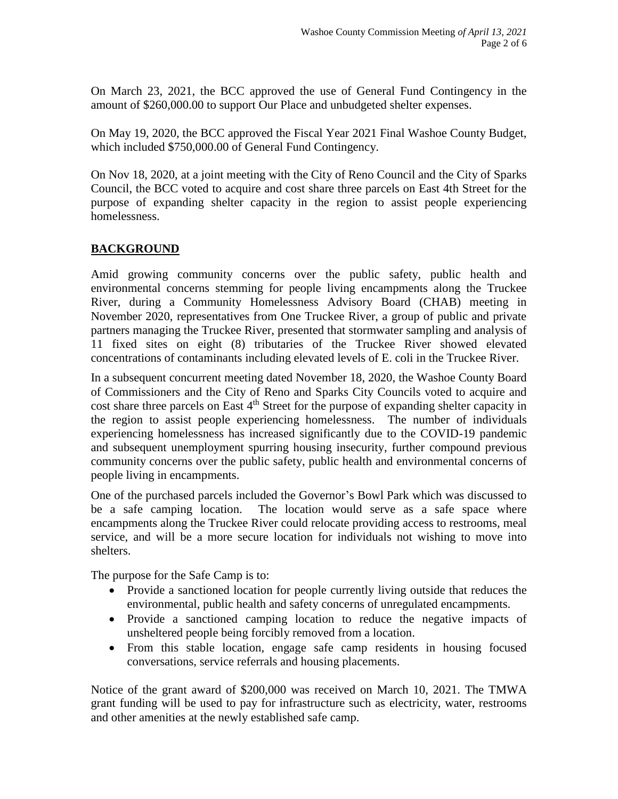On March 23, 2021, the BCC approved the use of General Fund Contingency in the amount of \$260,000.00 to support Our Place and unbudgeted shelter expenses.

On May 19, 2020, the BCC approved the Fiscal Year 2021 Final Washoe County Budget, which included \$750,000.00 of General Fund Contingency.

On Nov 18, 2020, at a joint meeting with the City of Reno Council and the City of Sparks Council, the BCC voted to acquire and cost share three parcels on East 4th Street for the purpose of expanding shelter capacity in the region to assist people experiencing homelessness.

# **BACKGROUND**

Amid growing community concerns over the public safety, public health and environmental concerns stemming for people living encampments along the Truckee River, during a Community Homelessness Advisory Board (CHAB) meeting in November 2020, representatives from One Truckee River, a group of public and private partners managing the Truckee River, presented that stormwater sampling and analysis of 11 fixed sites on eight (8) tributaries of the Truckee River showed elevated concentrations of contaminants including elevated levels of E. coli in the Truckee River.

In a subsequent concurrent meeting dated November 18, 2020, the Washoe County Board of Commissioners and the City of Reno and Sparks City Councils voted to acquire and cost share three parcels on East 4<sup>th</sup> Street for the purpose of expanding shelter capacity in the region to assist people experiencing homelessness. The number of individuals experiencing homelessness has increased significantly due to the COVID-19 pandemic and subsequent unemployment spurring housing insecurity, further compound previous community concerns over the public safety, public health and environmental concerns of people living in encampments.

One of the purchased parcels included the Governor's Bowl Park which was discussed to be a safe camping location. The location would serve as a safe space where encampments along the Truckee River could relocate providing access to restrooms, meal service, and will be a more secure location for individuals not wishing to move into shelters.

The purpose for the Safe Camp is to:

- Provide a sanctioned location for people currently living outside that reduces the environmental, public health and safety concerns of unregulated encampments.
- Provide a sanctioned camping location to reduce the negative impacts of unsheltered people being forcibly removed from a location.
- From this stable location, engage safe camp residents in housing focused conversations, service referrals and housing placements.

Notice of the grant award of \$200,000 was received on March 10, 2021. The TMWA grant funding will be used to pay for infrastructure such as electricity, water, restrooms and other amenities at the newly established safe camp.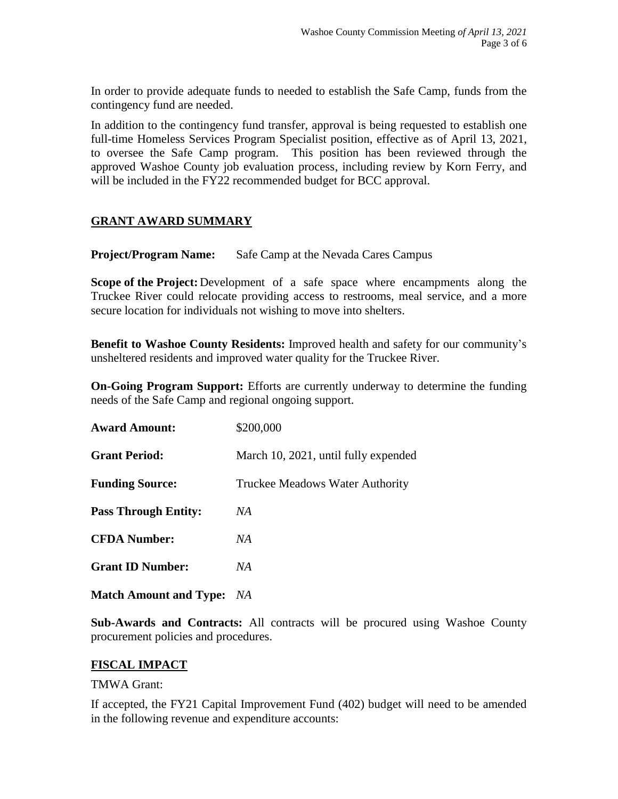In order to provide adequate funds to needed to establish the Safe Camp, funds from the contingency fund are needed.

In addition to the contingency fund transfer, approval is being requested to establish one full-time Homeless Services Program Specialist position, effective as of April 13, 2021, to oversee the Safe Camp program. This position has been reviewed through the approved Washoe County job evaluation process, including review by Korn Ferry, and will be included in the FY22 recommended budget for BCC approval.

### **GRANT AWARD SUMMARY**

**Project/Program Name:** Safe Camp at the Nevada Cares Campus

**Scope of the Project:** Development of a safe space where encampments along the Truckee River could relocate providing access to restrooms, meal service, and a more secure location for individuals not wishing to move into shelters.

**Benefit to Washoe County Residents:** Improved health and safety for our community's unsheltered residents and improved water quality for the Truckee River.

**On-Going Program Support:** Efforts are currently underway to determine the funding needs of the Safe Camp and regional ongoing support.

| <b>Award Amount:</b>        | \$200,000                            |  |
|-----------------------------|--------------------------------------|--|
| <b>Grant Period:</b>        | March 10, 2021, until fully expended |  |
| <b>Funding Source:</b>      | Truckee Meadows Water Authority      |  |
| <b>Pass Through Entity:</b> | NA                                   |  |
| <b>CFDA Number:</b>         | NA                                   |  |
| <b>Grant ID Number:</b>     | NA                                   |  |
|                             |                                      |  |

**Match Amount and Type:** *NA*

**Sub-Awards and Contracts:** All contracts will be procured using Washoe County procurement policies and procedures.

#### **FISCAL IMPACT**

#### TMWA Grant:

If accepted, the FY21 Capital Improvement Fund (402) budget will need to be amended in the following revenue and expenditure accounts: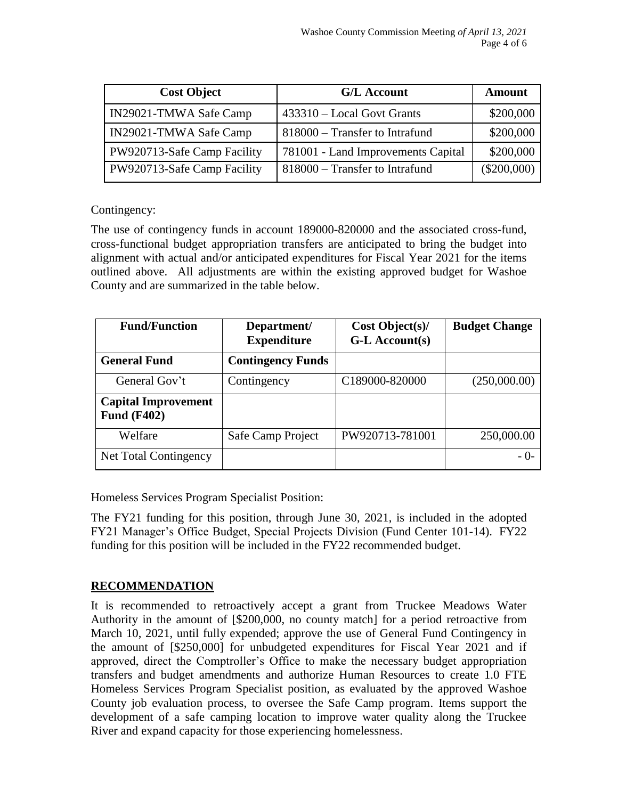| <b>Cost Object</b>          | <b>G/L Account</b>                 | <b>Amount</b> |
|-----------------------------|------------------------------------|---------------|
| IN29021-TMWA Safe Camp      | 433310 – Local Govt Grants         | \$200,000     |
| IN29021-TMWA Safe Camp      | 818000 – Transfer to Intrafund     | \$200,000     |
| PW920713-Safe Camp Facility | 781001 - Land Improvements Capital | \$200,000     |
| PW920713-Safe Camp Facility | 818000 – Transfer to Intrafund     | $(\$200,000)$ |

Contingency:

The use of contingency funds in account 189000-820000 and the associated cross-fund, cross-functional budget appropriation transfers are anticipated to bring the budget into alignment with actual and/or anticipated expenditures for Fiscal Year 2021 for the items outlined above. All adjustments are within the existing approved budget for Washoe County and are summarized in the table below.

| <b>Fund/Function</b>                             | Department/<br><b>Expenditure</b> | Cost Object(s)<br>G-L Account(s) | <b>Budget Change</b> |
|--------------------------------------------------|-----------------------------------|----------------------------------|----------------------|
| <b>General Fund</b>                              | <b>Contingency Funds</b>          |                                  |                      |
| General Gov't                                    | Contingency                       | C189000-820000                   | (250,000.00)         |
| <b>Capital Improvement</b><br><b>Fund (F402)</b> |                                   |                                  |                      |
| Welfare                                          | Safe Camp Project                 | PW920713-781001                  | 250,000.00           |
| Net Total Contingency                            |                                   |                                  | - 0-                 |

Homeless Services Program Specialist Position:

The FY21 funding for this position, through June 30, 2021, is included in the adopted FY21 Manager's Office Budget, Special Projects Division (Fund Center 101-14). FY22 funding for this position will be included in the FY22 recommended budget.

### **RECOMMENDATION**

It is recommended to retroactively accept a grant from Truckee Meadows Water Authority in the amount of [\$200,000, no county match] for a period retroactive from March 10, 2021, until fully expended; approve the use of General Fund Contingency in the amount of [\$250,000] for unbudgeted expenditures for Fiscal Year 2021 and if approved, direct the Comptroller's Office to make the necessary budget appropriation transfers and budget amendments and authorize Human Resources to create 1.0 FTE Homeless Services Program Specialist position, as evaluated by the approved Washoe County job evaluation process, to oversee the Safe Camp program. Items support the development of a safe camping location to improve water quality along the Truckee River and expand capacity for those experiencing homelessness.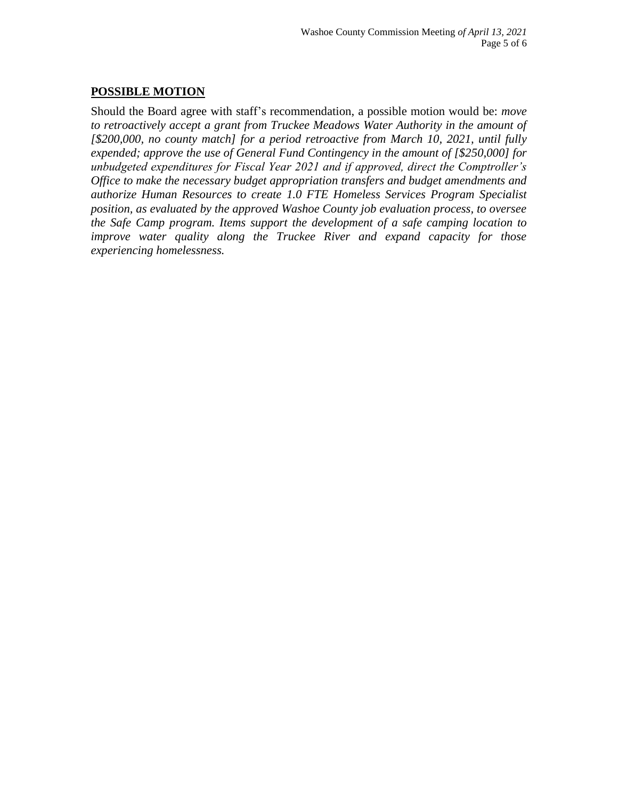# **POSSIBLE MOTION**

Should the Board agree with staff's recommendation, a possible motion would be: *move to retroactively accept a grant from Truckee Meadows Water Authority in the amount of [\$200,000, no county match] for a period retroactive from March 10, 2021, until fully expended; approve the use of General Fund Contingency in the amount of [\$250,000] for unbudgeted expenditures for Fiscal Year 2021 and if approved, direct the Comptroller's Office to make the necessary budget appropriation transfers and budget amendments and authorize Human Resources to create 1.0 FTE Homeless Services Program Specialist position, as evaluated by the approved Washoe County job evaluation process, to oversee the Safe Camp program. Items support the development of a safe camping location to improve water quality along the Truckee River and expand capacity for those experiencing homelessness.*